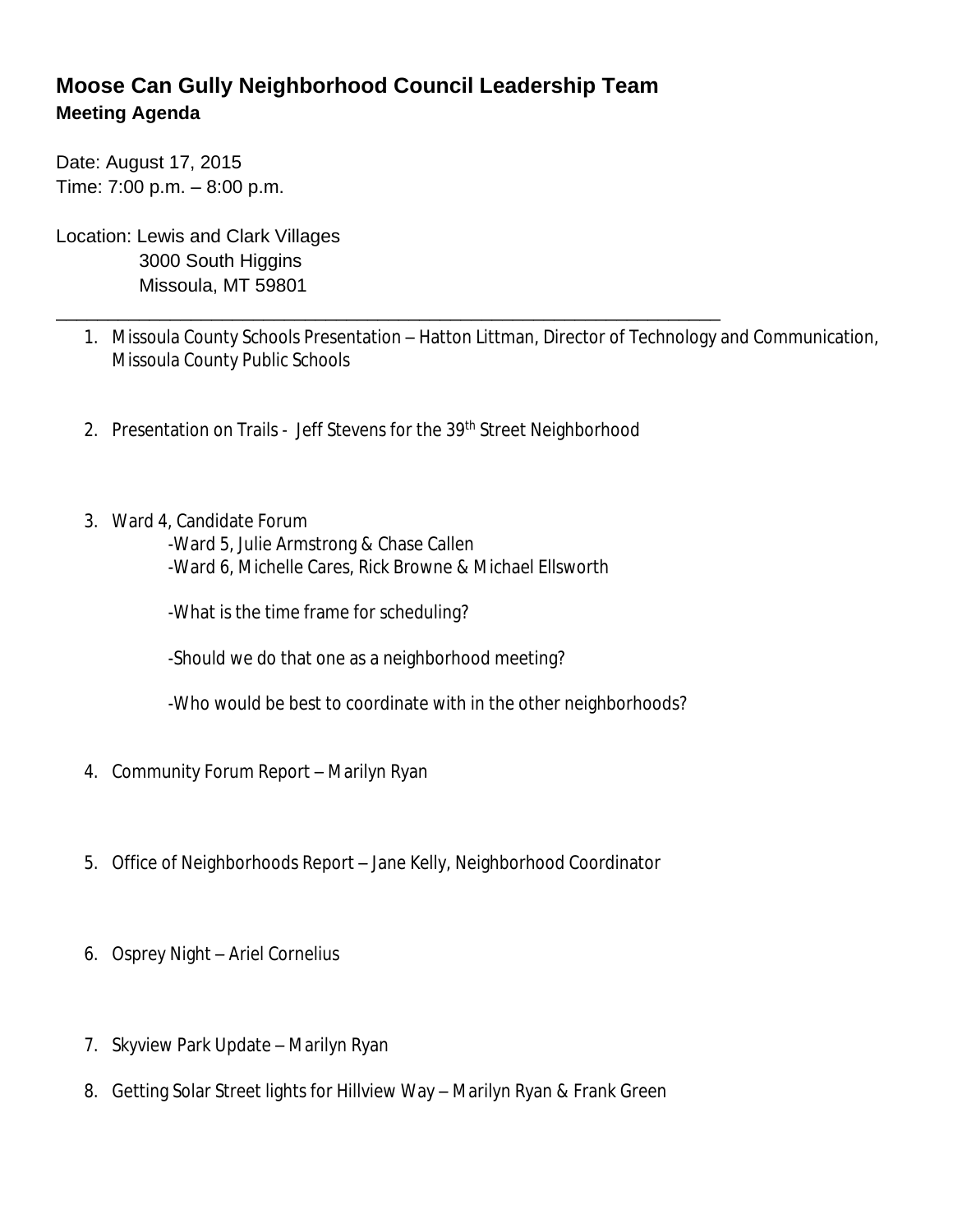## **Moose Can Gully Neighborhood Council Leadership Team Meeting Agenda**

Date: August 17, 2015 Time: 7:00 p.m. – 8:00 p.m.

Location: Lewis and Clark Villages 3000 South Higgins Missoula, MT 59801

- 1. Missoula County Schools Presentation Hatton Littman, Director of Technology and Communication, Missoula County Public Schools
- 2. Presentation on Trails Jeff Stevens for the 39th Street Neighborhood

\_\_\_\_\_\_\_\_\_\_\_\_\_\_\_\_\_\_\_\_\_\_\_\_\_\_\_\_\_\_\_\_\_\_\_\_\_\_\_\_\_\_\_\_\_\_\_\_\_\_\_\_\_\_\_\_\_\_\_\_\_\_\_\_

3. Ward 4, Candidate Forum

-Ward 5, Julie Armstrong & Chase Callen -Ward 6, Michelle Cares, Rick Browne & Michael Ellsworth

-What is the time frame for scheduling?

-Should we do that one as a neighborhood meeting?

-Who would be best to coordinate with in the other neighborhoods?

- 4. Community Forum Report Marilyn Ryan
- 5. Office of Neighborhoods Report Jane Kelly, Neighborhood Coordinator
- 6. Osprey Night Ariel Cornelius
- 7. Skyview Park Update Marilyn Ryan
- 8. Getting Solar Street lights for Hillview Way Marilyn Ryan & Frank Green